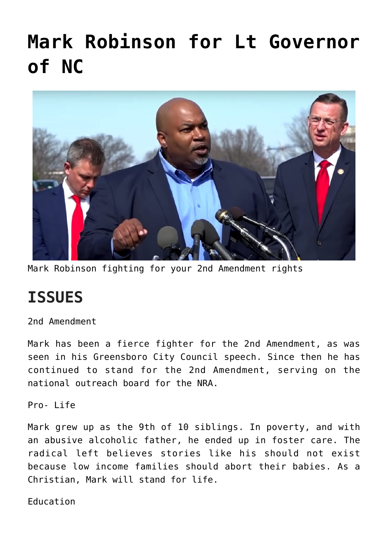# **[Mark Robinson for Lt Governor](https://columbuscountyconservative.com/index.php/mark-robinson-for-lt-governor-of-nc/) [of NC](https://columbuscountyconservative.com/index.php/mark-robinson-for-lt-governor-of-nc/)**



Mark Robinson fighting for your 2nd Amendment rights

## **ISSUES**

2nd Amendment

Mark has been a fierce fighter for the 2nd Amendment, as was seen in his Greensboro City Council speech. Since then he has continued to stand for the 2nd Amendment, serving on the national outreach board for the NRA.

Pro- Life

Mark grew up as the 9th of 10 siblings. In poverty, and with an abusive alcoholic father, he ended up in foster care. The radical left believes stories like his should not exist because low income families should abort their babies. As a Christian, Mark will stand for life.

Education